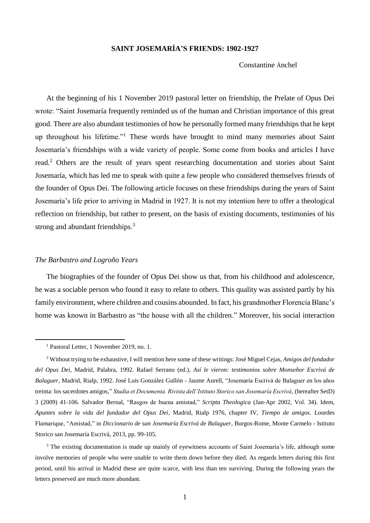# **SAINT JOSEMARÍA'S FRIENDS: 1902-1927**

Constantine Ánchel

At the beginning of his 1 November 2019 pastoral letter on friendship, the Prelate of Opus Dei wrote: "Saint Josemaría frequently reminded us of the human and Christian importance of this great good. There are also abundant testimonies of how he personally formed many friendships that he kept up throughout his lifetime."<sup>1</sup> These words have brought to mind many memories about Saint Josemaría's friendships with a wide variety of people. Some come from books and articles I have read.<sup>2</sup> Others are the result of years spent researching documentation and stories about Saint Josemaría, which has led me to speak with quite a few people who considered themselves friends of the founder of Opus Dei. The following article focuses on these friendships during the years of Saint Josemaría's life prior to arriving in Madrid in 1927. It is not my intention here to offer a theological reflection on friendship, but rather to present, on the basis of existing documents, testimonies of his strong and abundant friendships.<sup>3</sup>

#### *The Barbastro and Logroño Years*

The biographies of the founder of Opus Dei show us that, from his childhood and adolescence, he was a sociable person who found it easy to relate to others. This quality was assisted partly by his family environment, where children and cousins abounded. In fact, his grandmother Florencia Blanc's home was known in Barbastro as "the house with all the children." Moreover, his social interaction

1

<sup>3</sup> The existing documentation is made up mainly of eyewitness accounts of Saint Josemaría's life, although some involve memories of people who were unable to write them down before they died. As regards letters during this first period, until his arrival in Madrid these are quite scarce, with less than ten surviving. During the following years the letters preserved are much more abundant.

<sup>1</sup> Pastoral Letter, 1 November 2019, no. 1.

<sup>2</sup> Without trying to be exhaustive, I will mention here some of these writings: José Miguel Cejas, *Amigos del fundador del Opus Dei*, Madrid, Palabra, 1992. Rafael Serrano (ed.), *Así le vieron: testimonios sobre Monseñor Escrivá de Balaguer*, Madrid, Rialp, 1992. José Luis González Gullón - Jaume Aurell, "Josemaría Escrivá de Balaguer en los años treinta: los sacerdotes amigos," *Studia et Documenta. Rivista dell'Istituto Storico san Josemaría Escrivá*, (hereafter SetD) 3 (2009) 41-106. Salvador Bernal, "Rasgos de buena amistad," *Scripta Theologica* (Jan-Apr 2002, Vol. 34). Idem, *Apuntes sobre la vida del fundador del Opus Dei*, Madrid, Rialp 1976, chapter IV, *Tiempo de amigos*. Lourdes Flamarique, "Amistad," in *Diccionario de san Josemaría Escrivá de Balaguer*, Burgos-Rome, Monte Carmelo - Istituto Storico san Josemaría Escrivá, 2013, pp. 99-105.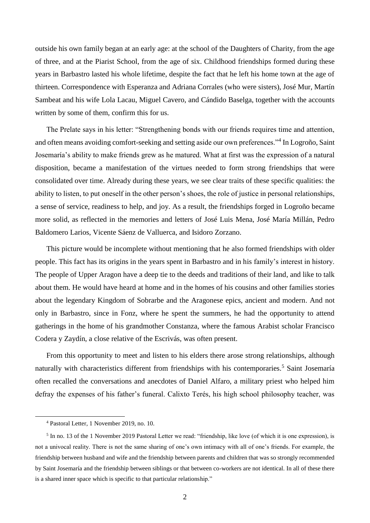outside his own family began at an early age: at the school of the Daughters of Charity, from the age of three, and at the Piarist School, from the age of six. Childhood friendships formed during these years in Barbastro lasted his whole lifetime, despite the fact that he left his home town at the age of thirteen. Correspondence with Esperanza and Adriana Corrales (who were sisters), José Mur, Martín Sambeat and his wife Lola Lacau, Miguel Cavero, and Cándido Baselga, together with the accounts written by some of them, confirm this for us.

The Prelate says in his letter: "Strengthening bonds with our friends requires time and attention, and often means avoiding comfort-seeking and setting aside our own preferences."<sup>4</sup> In Logroño, Saint Josemaría's ability to make friends grew as he matured. What at first was the expression of a natural disposition, became a manifestation of the virtues needed to form strong friendships that were consolidated over time. Already during these years, we see clear traits of these specific qualities: the ability to listen, to put oneself in the other person's shoes, the role of justice in personal relationships, a sense of service, readiness to help, and joy. As a result, the friendships forged in Logroño became more solid, as reflected in the memories and letters of José Luis Mena, José María Millán, Pedro Baldomero Larios, Vicente Sáenz de Valluerca, and Isidoro Zorzano.

This picture would be incomplete without mentioning that he also formed friendships with older people. This fact has its origins in the years spent in Barbastro and in his family's interest in history. The people of Upper Aragon have a deep tie to the deeds and traditions of their land, and like to talk about them. He would have heard at home and in the homes of his cousins and other families stories about the legendary Kingdom of Sobrarbe and the Aragonese epics, ancient and modern. And not only in Barbastro, since in Fonz, where he spent the summers, he had the opportunity to attend gatherings in the home of his grandmother Constanza, where the famous Arabist scholar Francisco Codera y Zaydín, a close relative of the Escrivás, was often present.

From this opportunity to meet and listen to his elders there arose strong relationships, although naturally with characteristics different from friendships with his contemporaries.<sup>5</sup> Saint Josemaría often recalled the conversations and anecdotes of Daniel Alfaro, a military priest who helped him defray the expenses of his father's funeral. Calixto Terés, his high school philosophy teacher, was

<sup>4</sup> Pastoral Letter, 1 November 2019, no. 10.

<sup>&</sup>lt;sup>5</sup> In no. 13 of the 1 November 2019 Pastoral Letter we read: "friendship, like love (of which it is one expression), is not a univocal reality. There is not the same sharing of one's own intimacy with all of one's friends. For example, the friendship between husband and wife and the friendship between parents and children that was so strongly recommended by Saint Josemaría and the friendship between siblings or that between co-workers are not identical. In all of these there is a shared inner space which is specific to that particular relationship."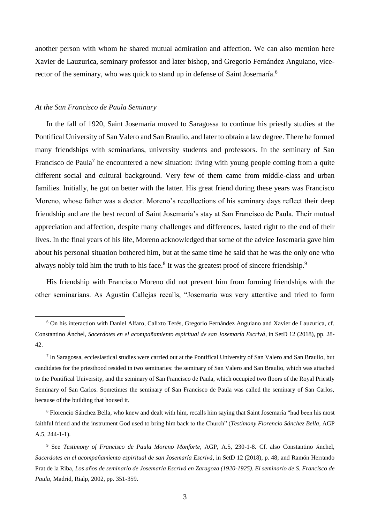another person with whom he shared mutual admiration and affection. We can also mention here Xavier de Lauzurica, seminary professor and later bishop, and Gregorio Fernández Anguiano, vicerector of the seminary, who was quick to stand up in defense of Saint Josemaría.<sup>6</sup>

## *At the San Francisco de Paula Seminary*

1

In the fall of 1920, Saint Josemaría moved to Saragossa to continue his priestly studies at the Pontifical University of San Valero and San Braulio, and later to obtain a law degree. There he formed many friendships with seminarians, university students and professors. In the seminary of San Francisco de Paula<sup>7</sup> he encountered a new situation: living with young people coming from a quite different social and cultural background. Very few of them came from middle-class and urban families. Initially, he got on better with the latter. His great friend during these years was Francisco Moreno, whose father was a doctor. Moreno's recollections of his seminary days reflect their deep friendship and are the best record of Saint Josemaría's stay at San Francisco de Paula. Their mutual appreciation and affection, despite many challenges and differences, lasted right to the end of their lives. In the final years of his life, Moreno acknowledged that some of the advice Josemaría gave him about his personal situation bothered him, but at the same time he said that he was the only one who always nobly told him the truth to his face. $8$  It was the greatest proof of sincere friendship.<sup>9</sup>

His friendship with Francisco Moreno did not prevent him from forming friendships with the other seminarians. As Agustín Callejas recalls, "Josemaría was very attentive and tried to form

<sup>6</sup> On his interaction with Daniel Alfaro, Calixto Terés, Gregorio Fernández Anguiano and Xavier de Lauzurica, cf. Constantino Ánchel, *Sacerdotes en el acompañamiento espiritual de san Josemaría Escrivá*, in SetD 12 (2018), pp. 28- 42.

<sup>7</sup> In Saragossa, ecclesiastical studies were carried out at the Pontifical University of San Valero and San Braulio, but candidates for the priesthood resided in two seminaries: the seminary of San Valero and San Braulio, which was attached to the Pontifical University, and the seminary of San Francisco de Paula, which occupied two floors of the Royal Priestly Seminary of San Carlos. Sometimes the seminary of San Francisco de Paula was called the seminary of San Carlos, because of the building that housed it.

<sup>8</sup> Florencio Sánchez Bella, who knew and dealt with him, recalls him saying that Saint Josemaría "had been his most faithful friend and the instrument God used to bring him back to the Church" (*Testimony Florencio Sánchez Bella*, AGP A.5, 244-1-1).

<sup>9</sup> See *Testimony of Francisco de Paula Moreno Monforte*, AGP, A.5, 230-1-8. Cf. also Constantino Ánchel, *Sacerdotes en el acompañamiento espiritual de san Josemaría Escrivá*, in SetD 12 (2018), p. 48; and Ramón Herrando Prat de la Riba, *Los años de seminario de Josemaría Escrivá en Zaragoza (1920-1925). El seminario de S. Francisco de Paula*, Madrid, Rialp, 2002, pp. 351-359.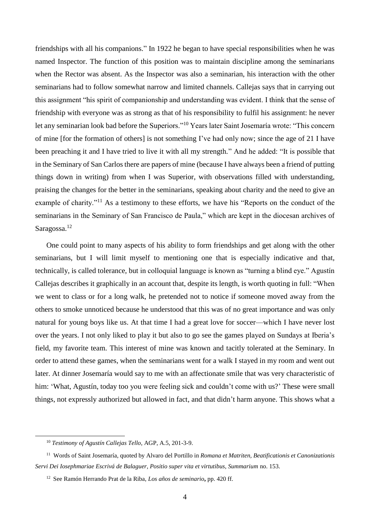friendships with all his companions." In 1922 he began to have special responsibilities when he was named Inspector. The function of this position was to maintain discipline among the seminarians when the Rector was absent. As the Inspector was also a seminarian, his interaction with the other seminarians had to follow somewhat narrow and limited channels. Callejas says that in carrying out this assignment "his spirit of companionship and understanding was evident. I think that the sense of friendship with everyone was as strong as that of his responsibility to fulfil his assignment: he never let any seminarian look bad before the Superiors."<sup>10</sup> Years later Saint Josemaría wrote: "This concern of mine [for the formation of others] is not something I've had only now; since the age of 21 I have been preaching it and I have tried to live it with all my strength." And he added: "It is possible that in the Seminary of San Carlos there are papers of mine (because I have always been a friend of putting things down in writing) from when I was Superior, with observations filled with understanding, praising the changes for the better in the seminarians, speaking about charity and the need to give an example of charity."<sup>11</sup> As a testimony to these efforts, we have his "Reports on the conduct of the seminarians in the Seminary of San Francisco de Paula," which are kept in the diocesan archives of Saragossa.<sup>12</sup>

One could point to many aspects of his ability to form friendships and get along with the other seminarians, but I will limit myself to mentioning one that is especially indicative and that, technically, is called tolerance, but in colloquial language is known as "turning a blind eye." Agustín Callejas describes it graphically in an account that, despite its length, is worth quoting in full: "When we went to class or for a long walk, he pretended not to notice if someone moved away from the others to smoke unnoticed because he understood that this was of no great importance and was only natural for young boys like us. At that time I had a great love for soccer—which I have never lost over the years. I not only liked to play it but also to go see the games played on Sundays at Iberia's field, my favorite team. This interest of mine was known and tacitly tolerated at the Seminary. In order to attend these games, when the seminarians went for a walk I stayed in my room and went out later. At dinner Josemaría would say to me with an affectionate smile that was very characteristic of him: 'What, Agustín, today too you were feeling sick and couldn't come with us?' These were small things, not expressly authorized but allowed in fact, and that didn't harm anyone. This shows what a

<sup>10</sup> *Testimony of Agustín Callejas Tello*, AGP, A.5, 201-3-9.

<sup>11</sup> Words of Saint Josemaría, quoted by Alvaro del Portillo in *Romana et Matriten, Beatificationis et Canonizationis Servi Dei Iosephmariae Escrivá de Balaguer, Positio super vita et virtutibus, Summarium* no. 153.

<sup>12</sup> See Ramón Herrando Prat de la Riba, *Los años de seminario***,** pp. 420 ff.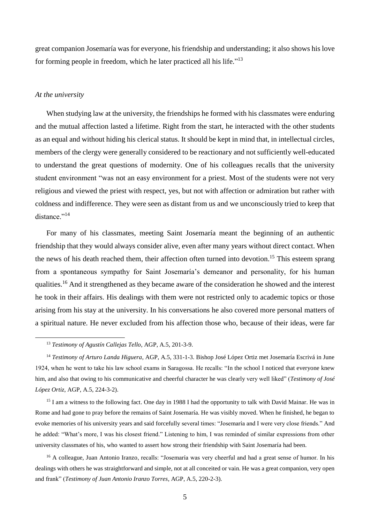great companion Josemaría was for everyone, his friendship and understanding; it also shows his love for forming people in freedom, which he later practiced all his life."<sup>13</sup>

## *At the university*

1

When studying law at the university, the friendships he formed with his classmates were enduring and the mutual affection lasted a lifetime. Right from the start, he interacted with the other students as an equal and without hiding his clerical status. It should be kept in mind that, in intellectual circles, members of the clergy were generally considered to be reactionary and not sufficiently well-educated to understand the great questions of modernity. One of his colleagues recalls that the university student environment "was not an easy environment for a priest. Most of the students were not very religious and viewed the priest with respect, yes, but not with affection or admiration but rather with coldness and indifference. They were seen as distant from us and we unconsciously tried to keep that distance."<sup>14</sup>

For many of his classmates, meeting Saint Josemaría meant the beginning of an authentic friendship that they would always consider alive, even after many years without direct contact. When the news of his death reached them, their affection often turned into devotion.<sup>15</sup> This esteem sprang from a spontaneous sympathy for Saint Josemaría's demeanor and personality, for his human qualities.<sup>16</sup> And it strengthened as they became aware of the consideration he showed and the interest he took in their affairs. His dealings with them were not restricted only to academic topics or those arising from his stay at the university. In his conversations he also covered more personal matters of a spiritual nature. He never excluded from his affection those who, because of their ideas, were far

<sup>15</sup> I am a witness to the following fact. One day in 1988 I had the opportunity to talk with David Mainar. He was in Rome and had gone to pray before the remains of Saint Josemaría. He was visibly moved. When he finished, he began to evoke memories of his university years and said forcefully several times: "Josemaría and I were very close friends." And he added: "What's more, I was his closest friend." Listening to him, I was reminded of similar expressions from other university classmates of his, who wanted to assert how strong their friendship with Saint Josemaría had been.

<sup>16</sup> A colleague, Juan Antonio Iranzo, recalls: "Josemaría was very cheerful and had a great sense of humor. In his dealings with others he was straightforward and simple, not at all conceited or vain. He was a great companion, very open and frank" (*Testimony of Juan Antonio Iranzo Torres*, AGP, A.5, 220-2-3).

<sup>13</sup> *Testimony of Agustín Callejas Tello*, AGP, A.5, 201-3-9.

<sup>14</sup> *Testimony of Arturo Landa Higuera*, AGP, A.5, 331-1-3. Bishop José López Ortiz met Josemaría Escrivá in June 1924, when he went to take his law school exams in Saragossa. He recalls: "In the school I noticed that everyone knew him, and also that owing to his communicative and cheerful character he was clearly very well liked" (*Testimony of José López Ortiz*, AGP, A.5, 224-3-2).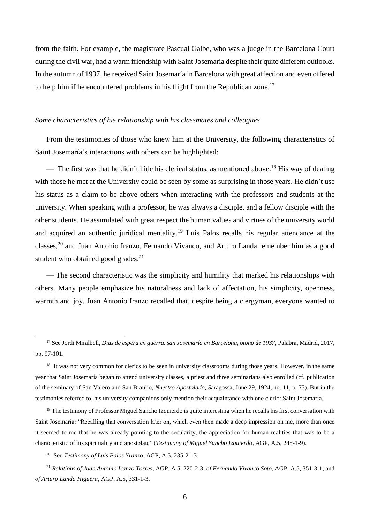from the faith. For example, the magistrate Pascual Galbe, who was a judge in the Barcelona Court during the civil war, had a warm friendship with Saint Josemaría despite their quite different outlooks. In the autumn of 1937, he received Saint Josemaría in Barcelona with great affection and even offered to help him if he encountered problems in his flight from the Republican zone.<sup>17</sup>

#### *Some characteristics of his relationship with his classmates and colleagues*

From the testimonies of those who knew him at the University, the following characteristics of Saint Josemaría's interactions with others can be highlighted:

— The first was that he didn't hide his clerical status, as mentioned above.<sup>18</sup> His way of dealing with those he met at the University could be seen by some as surprising in those years. He didn't use his status as a claim to be above others when interacting with the professors and students at the university. When speaking with a professor, he was always a disciple, and a fellow disciple with the other students. He assimilated with great respect the human values and virtues of the university world and acquired an authentic juridical mentality.<sup>19</sup> Luis Palos recalls his regular attendance at the classes, <sup>20</sup> and Juan Antonio Iranzo, Fernando Vivanco, and Arturo Landa remember him as a good student who obtained good grades.<sup>21</sup>

— The second characteristic was the simplicity and humility that marked his relationships with others. Many people emphasize his naturalness and lack of affectation, his simplicity, openness, warmth and joy. Juan Antonio Iranzo recalled that, despite being a clergyman, everyone wanted to

 $19$  The testimony of Professor Miguel Sancho Izquierdo is quite interesting when he recalls his first conversation with Saint Josemaría: "Recalling that conversation later on, which even then made a deep impression on me, more than once it seemed to me that he was already pointing to the secularity, the appreciation for human realities that was to be a characteristic of his spirituality and apostolate" (*Testimony of Miguel Sancho Izquierdo*, AGP, A.5, 245-1-9).

<sup>20</sup> See *Testimony of Luis Palos Yranzo*, AGP, A.5, 235-2-13.

<sup>17</sup> See Jordi Miralbell, *Días de espera en guerra. san Josemaría en Barcelona, otoño de 1937*, Palabra, Madrid, 2017, pp. 97-101.

<sup>&</sup>lt;sup>18</sup> It was not very common for clerics to be seen in university classrooms during those years. However, in the same year that Saint Josemaría began to attend university classes, a priest and three seminarians also enrolled (cf. publication of the seminary of San Valero and San Braulio, *Nuestro Apostolado, S*aragossa, June 29, 1924, no. 11, p. 75). But in the testimonies referred to, his university companions only mention their acquaintance with one cleric: Saint Josemaría.

<sup>21</sup> *Relations of Juan Antonio Iranzo Torres*, AGP, A.5, 220-2-3; *of Fernando Vivanco Soto*, AGP, A.5, 351-3-1; and *of Arturo Landa Higuera*, AGP, A.5, 331-1-3.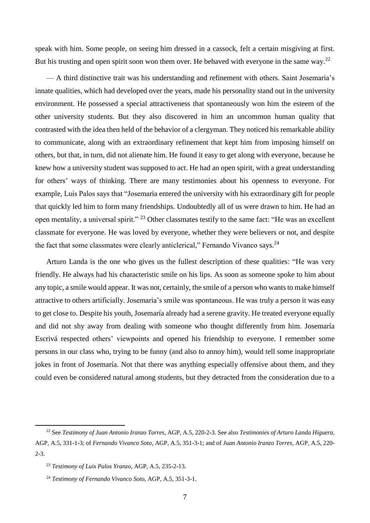speak with him. Some people, on seeing him dressed in a cassock, felt a certain misgiving at first. But his trusting and open spirit soon won them over. He behaved with everyone in the same way.<sup>22</sup>

— A third distinctive trait was his understanding and refinement with others. Saint Josemaría's innate qualities, which had developed over the years, made his personality stand out in the university environment. He possessed a special attractiveness that spontaneously won him the esteem of the other university students. But they also discovered in him an uncommon human quality that contrasted with the idea then held of the behavior of a clergyman. They noticed his remarkable ability to communicate, along with an extraordinary refinement that kept him from imposing himself on others, but that, in turn, did not alienate him. He found it easy to get along with everyone, because he knew how a university student was supposed to act. He had an open spirit, with a great understanding for others' ways of thinking. There are many testimonies about his openness to everyone. For example, Luis Palos says that "Josemaría entered the university with his extraordinary gift for people that quickly led him to form many friendships. Undoubtedly all of us were drawn to him. He had an open mentality, a universal spirit." <sup>23</sup> Other classmates testify to the same fact: "He was an excellent classmate for everyone. He was loved by everyone, whether they were believers or not, and despite the fact that some classmates were clearly anticlerical," Fernando Vivanco says.<sup>24</sup>

Arturo Landa is the one who gives us the fullest description of these qualities: "He was very friendly. He always had his characteristic smile on his lips. As soon as someone spoke to him about any topic, a smile would appear. It was not, certainly, the smile of a person who wants to make himself attractive to others artificially. Josemaría's smile was spontaneous. He was truly a person it was easy to get close to. Despite his youth, Josemaría already had a serene gravity. He treated everyone equally and did not shy away from dealing with someone who thought differently from him. Josemaría Escrivá respected others' viewpoints and opened his friendship to everyone. I remember some persons in our class who, trying to be funny (and also to annoy him), would tell some inappropriate jokes in front of Josemaría. Not that there was anything especially offensive about them, and they could even be considered natural among students, but they detracted from the consideration due to a

 $\overline{\phantom{a}}$ 

<sup>22</sup> See *Testimony of Juan Antonio Iranzo Torres*, AGP, A.5, 220-2-3. See also *Testimonies of Arturo Landa Higuera*, AGP, A.5, 331-1-3; of *Fernando Vivanco Soto*, AGP, A.5, 351-3-1; and of *Juan Antonio Iranzo Torres*, AGP, A.5, 220- 2-3.

<sup>23</sup> *Testimony of Luis Palos Yranzo*, AGP, A.5, 235-2-13.

<sup>24</sup> *Testimony of Fernando Vivanco Soto*, AGP, A.5, 351-3-1.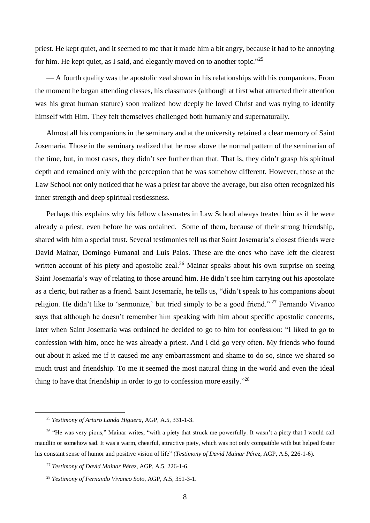priest. He kept quiet, and it seemed to me that it made him a bit angry, because it had to be annoying for him. He kept quiet, as I said, and elegantly moved on to another topic."<sup>25</sup>

— A fourth quality was the apostolic zeal shown in his relationships with his companions. From the moment he began attending classes, his classmates (although at first what attracted their attention was his great human stature) soon realized how deeply he loved Christ and was trying to identify himself with Him. They felt themselves challenged both humanly and supernaturally.

Almost all his companions in the seminary and at the university retained a clear memory of Saint Josemaría. Those in the seminary realized that he rose above the normal pattern of the seminarian of the time, but, in most cases, they didn't see further than that. That is, they didn't grasp his spiritual depth and remained only with the perception that he was somehow different. However, those at the Law School not only noticed that he was a priest far above the average, but also often recognized his inner strength and deep spiritual restlessness.

Perhaps this explains why his fellow classmates in Law School always treated him as if he were already a priest, even before he was ordained. Some of them, because of their strong friendship, shared with him a special trust. Several testimonies tell us that Saint Josemaría's closest friends were David Mainar, Domingo Fumanal and Luis Palos. These are the ones who have left the clearest written account of his piety and apostolic zeal.<sup>26</sup> Mainar speaks about his own surprise on seeing Saint Josemaría's way of relating to those around him. He didn't see him carrying out his apostolate as a cleric, but rather as a friend. Saint Josemaría, he tells us, "didn't speak to his companions about religion. He didn't like to 'sermonize,' but tried simply to be a good friend."<sup>27</sup> Fernando Vivanco says that although he doesn't remember him speaking with him about specific apostolic concerns, later when Saint Josemaría was ordained he decided to go to him for confession: "I liked to go to confession with him, once he was already a priest. And I did go very often. My friends who found out about it asked me if it caused me any embarrassment and shame to do so, since we shared so much trust and friendship. To me it seemed the most natural thing in the world and even the ideal thing to have that friendship in order to go to confession more easily."<sup>28</sup>

<sup>25</sup> *Testimony of Arturo Landa Higuera*, AGP, A.5, 331-1-3.

<sup>&</sup>lt;sup>26</sup> "He was very pious," Mainar writes, "with a piety that struck me powerfully. It wasn't a piety that I would call maudlin or somehow sad. It was a warm, cheerful, attractive piety, which was not only compatible with but helped foster his constant sense of humor and positive vision of life" (*Testimony of David Mainar Pérez*, AGP, A.5, 226-1-6).

<sup>27</sup> *Testimony of David Mainar Pérez*, AGP, A.5, 226-1-6.

<sup>28</sup> *Testimony of Fernando Vivanco Soto*, AGP, A.5, 351-3-1.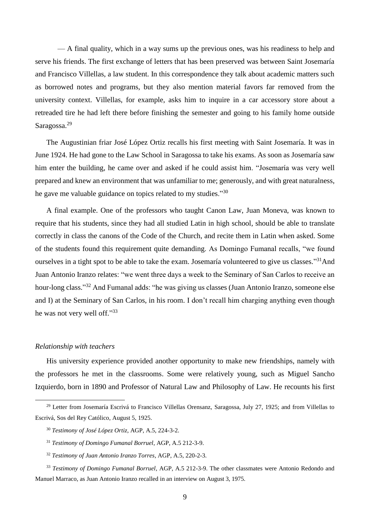— A final quality, which in a way sums up the previous ones, was his readiness to help and serve his friends. The first exchange of letters that has been preserved was between Saint Josemaría and Francisco Villellas, a law student. In this correspondence they talk about academic matters such as borrowed notes and programs, but they also mention material favors far removed from the university context. Villellas, for example, asks him to inquire in a car accessory store about a retreaded tire he had left there before finishing the semester and going to his family home outside Saragossa.<sup>29</sup>

The Augustinian friar José López Ortiz recalls his first meeting with Saint Josemaría. It was in June 1924. He had gone to the Law School in Saragossa to take his exams. As soon as Josemaría saw him enter the building, he came over and asked if he could assist him. "Josemaría was very well prepared and knew an environment that was unfamiliar to me; generously, and with great naturalness, he gave me valuable guidance on topics related to my studies."<sup>30</sup>

A final example. One of the professors who taught Canon Law, Juan Moneva, was known to require that his students, since they had all studied Latin in high school, should be able to translate correctly in class the canons of the Code of the Church, and recite them in Latin when asked. Some of the students found this requirement quite demanding. As Domingo Fumanal recalls, "we found ourselves in a tight spot to be able to take the exam. Josemaría volunteered to give us classes."<sup>31</sup>And Juan Antonio Iranzo relates: "we went three days a week to the Seminary of San Carlos to receive an hour-long class."<sup>32</sup> And Fumanal adds: "he was giving us classes (Juan Antonio Iranzo, someone else and I) at the Seminary of San Carlos, in his room. I don't recall him charging anything even though he was not very well off."33

#### *Relationship with teachers*

1

His university experience provided another opportunity to make new friendships, namely with the professors he met in the classrooms. Some were relatively young, such as Miguel Sancho Izquierdo, born in 1890 and Professor of Natural Law and Philosophy of Law. He recounts his first

<sup>32</sup> *Testimony of Juan Antonio Iranzo Torres*, AGP, A.5, 220-2-3.

<sup>&</sup>lt;sup>29</sup> Letter from Josemaría Escrivá to Francisco Villellas Orensanz, Saragossa, July 27, 1925; and from Villellas to Escrivá, Sos del Rey Católico, August 5, 1925.

<sup>30</sup> *Testimony of José López Ortiz*, AGP, A.5, 224-3-2.

<sup>31</sup> *Testimony of Domingo Fumanal Borruel*, AGP, A.5 212-3-9.

<sup>33</sup> *Testimony of Domingo Fumanal Borruel*, AGP, A.5 212-3-9. The other classmates were Antonio Redondo and Manuel Marraco, as Juan Antonio Iranzo recalled in an interview on August 3, 1975.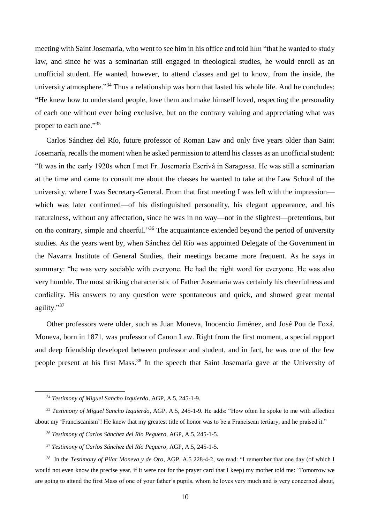meeting with Saint Josemaría, who went to see him in his office and told him "that he wanted to study law, and since he was a seminarian still engaged in theological studies, he would enroll as an unofficial student. He wanted, however, to attend classes and get to know, from the inside, the university atmosphere."<sup>34</sup> Thus a relationship was born that lasted his whole life. And he concludes: "He knew how to understand people, love them and make himself loved, respecting the personality of each one without ever being exclusive, but on the contrary valuing and appreciating what was proper to each one."35

Carlos Sánchez del Río, future professor of Roman Law and only five years older than Saint Josemaría, recalls the moment when he asked permission to attend his classes as an unofficial student: "It was in the early 1920s when I met Fr. Josemaría Escrivá in Saragossa. He was still a seminarian at the time and came to consult me about the classes he wanted to take at the Law School of the university, where I was Secretary-General. From that first meeting I was left with the impression which was later confirmed—of his distinguished personality, his elegant appearance, and his naturalness, without any affectation, since he was in no way—not in the slightest—pretentious, but on the contrary, simple and cheerful."<sup>36</sup> The acquaintance extended beyond the period of university studies. As the years went by, when Sánchez del Río was appointed Delegate of the Government in the Navarra Institute of General Studies, their meetings became more frequent. As he says in summary: "he was very sociable with everyone. He had the right word for everyone. He was also very humble. The most striking characteristic of Father Josemaría was certainly his cheerfulness and cordiality. His answers to any question were spontaneous and quick, and showed great mental agility."<sup>37</sup>

Other professors were older, such as Juan Moneva, Inocencio Jiménez, and José Pou de Foxá. Moneva, born in 1871, was professor of Canon Law. Right from the first moment, a special rapport and deep friendship developed between professor and student, and in fact, he was one of the few people present at his first Mass. <sup>38</sup> In the speech that Saint Josemaría gave at the University of

<sup>34</sup> *Testimony of Miguel Sancho Izquierdo*, AGP, A.5, 245-1-9.

<sup>35</sup> *Testimony of Miguel Sancho Izquierdo*, AGP, A.5, 245-1-9. He adds: "How often he spoke to me with affection about my 'Franciscanism'! He knew that my greatest title of honor was to be a Franciscan tertiary, and he praised it."

<sup>36</sup> *Testimony of Carlos Sánchez del Río Peguero*, AGP, A.5, 245-1-5.

<sup>37</sup> *Testimony of Carlos Sánchez del Río Peguero*, AGP, A.5, 245-1-5.

<sup>38</sup> In the *Testimony of Pilar Moneva y de Oro*, AGP, A.5 228-4-2, we read: "I remember that one day (of which I would not even know the precise year, if it were not for the prayer card that I keep) my mother told me: 'Tomorrow we are going to attend the first Mass of one of your father's pupils, whom he loves very much and is very concerned about,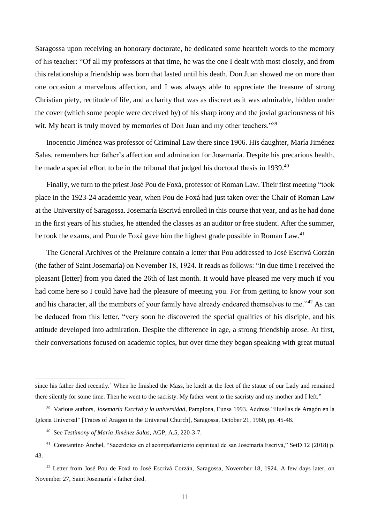Saragossa upon receiving an honorary doctorate, he dedicated some heartfelt words to the memory of his teacher: "Of all my professors at that time, he was the one I dealt with most closely, and from this relationship a friendship was born that lasted until his death. Don Juan showed me on more than one occasion a marvelous affection, and I was always able to appreciate the treasure of strong Christian piety, rectitude of life, and a charity that was as discreet as it was admirable, hidden under the cover (which some people were deceived by) of his sharp irony and the jovial graciousness of his wit. My heart is truly moved by memories of Don Juan and my other teachers."<sup>39</sup>

Inocencio Jiménez was professor of Criminal Law there since 1906. His daughter, María Jiménez Salas, remembers her father's affection and admiration for Josemaría. Despite his precarious health, he made a special effort to be in the tribunal that judged his doctoral thesis in 1939.<sup>40</sup>

Finally, we turn to the priest José Pou de Foxá, professor of Roman Law. Their first meeting "took place in the 1923-24 academic year, when Pou de Foxá had just taken over the Chair of Roman Law at the University of Saragossa. Josemaría Escrivá enrolled in this course that year, and as he had done in the first years of his studies, he attended the classes as an auditor or free student. After the summer, he took the exams, and Pou de Foxá gave him the highest grade possible in Roman Law.<sup>41</sup>

The General Archives of the Prelature contain a letter that Pou addressed to José Escrivá Corzán (the father of Saint Josemaría) on November 18, 1924. It reads as follows: "In due time I received the pleasant [letter] from you dated the 26th of last month. It would have pleased me very much if you had come here so I could have had the pleasure of meeting you. For from getting to know your son and his character, all the members of your family have already endeared themselves to me."<sup>42</sup> As can be deduced from this letter, "very soon he discovered the special qualities of his disciple, and his attitude developed into admiration. Despite the difference in age, a strong friendship arose. At first, their conversations focused on academic topics, but over time they began speaking with great mutual

since his father died recently.' When he finished the Mass, he knelt at the feet of the statue of our Lady and remained there silently for some time. Then he went to the sacristy. My father went to the sacristy and my mother and I left."

<sup>39</sup> Various authors, *Josemaría Escrivá y la universidad*, Pamplona, Eunsa 1993. Address "Huellas de Aragón en la Iglesia Universal" [Traces of Aragon in the Universal Church], Saragossa, October 21, 1960, pp. 45-48.

<sup>40</sup> See *Testimony of María Jiménez Salas*, AGP, A.5, 220-3-7.

<sup>41</sup> Constantino Ánchel, "Sacerdotes en el acompañamiento espiritual de san Josemaría Escrivá," SetD 12 (2018) p. 43.

<sup>42</sup> Letter from José Pou de Foxá to José Escrivá Corzán, Saragossa, November 18, 1924. A few days later, on November 27, Saint Josemaría's father died.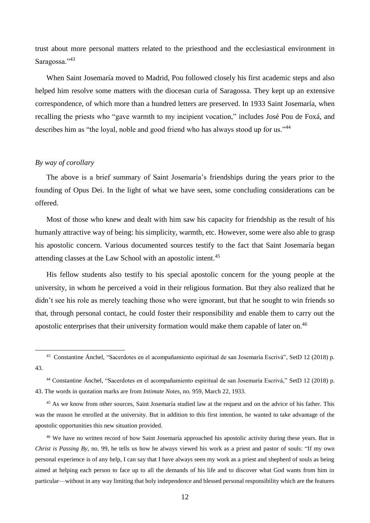trust about more personal matters related to the priesthood and the ecclesiastical environment in Saragossa."43

When Saint Josemaría moved to Madrid, Pou followed closely his first academic steps and also helped him resolve some matters with the diocesan curia of Saragossa. They kept up an extensive correspondence, of which more than a hundred letters are preserved. In 1933 Saint Josemaría, when recalling the priests who "gave warmth to my incipient vocation," includes José Pou de Foxá, and describes him as "the loyal, noble and good friend who has always stood up for us."<sup>44</sup>

## *By way of corollary*

**.** 

The above is a brief summary of Saint Josemaría's friendships during the years prior to the founding of Opus Dei. In the light of what we have seen, some concluding considerations can be offered.

Most of those who knew and dealt with him saw his capacity for friendship as the result of his humanly attractive way of being: his simplicity, warmth, etc. However, some were also able to grasp his apostolic concern. Various documented sources testify to the fact that Saint Josemaría began attending classes at the Law School with an apostolic intent.<sup>45</sup>

His fellow students also testify to his special apostolic concern for the young people at the university, in whom he perceived a void in their religious formation. But they also realized that he didn't see his role as merely teaching those who were ignorant, but that he sought to win friends so that, through personal contact, he could foster their responsibility and enable them to carry out the apostolic enterprises that their university formation would make them capable of later on.<sup>46</sup>

<sup>43</sup> Constantine Ánchel, "Sacerdotes en el acompañamiento espiritual de san Josemaría Escrivá", SetD 12 (2018) p. 43.

<sup>44</sup> Constantine Ánchel, "Sacerdotes en el acompañamiento espiritual de san Josemaría Escrivá," SetD 12 (2018) p. 43. The words in quotation marks are from *Intimate Notes*, no. 959, March 22, 1933.

<sup>&</sup>lt;sup>45</sup> As we know from other sources, Saint Josemaría studied law at the request and on the advice of his father. This was the reason he enrolled at the university. But in addition to this first intention, he wanted to take advantage of the apostolic opportunities this new situation provided.

<sup>&</sup>lt;sup>46</sup> We have no written record of how Saint Josemaría approached his apostolic activity during these years. But in *Christ is Passing By*, no. 99, he tells us how he always viewed his work as a priest and pastor of souls: "If my own personal experience is of any help, I can say that I have always seen my work as a priest and shepherd of souls as being aimed at helping each person to face up to all the demands of his life and to discover what God wants from him in particular—without in any way limiting that holy independence and blessed personal responsibility which are the features